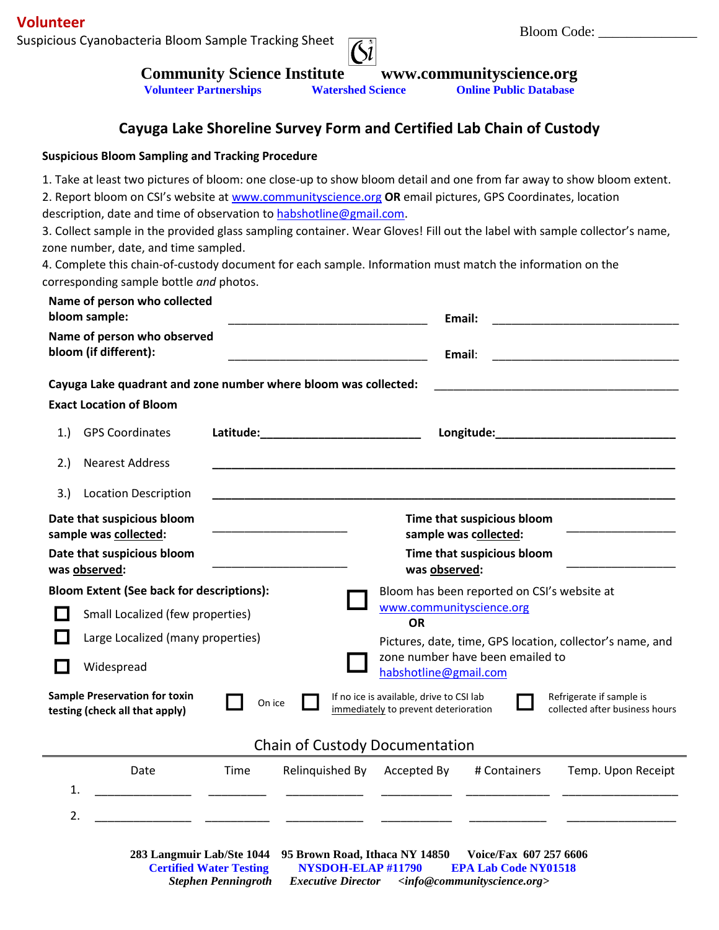Bloom Code: \_\_\_\_\_\_\_\_\_\_\_\_\_\_ **Volunteer** Suspicious Cyanobacteria Bloom Sample Tracking Sheet



**Community Science Institute www.communityscience.org**<br>Volunteer Partnerships Watershed Science Online Public Database **Volunteer Partnerships** 

## **Cayuga Lake Shoreline Survey Form and Certified Lab Chain of Custody**

## **Suspicious Bloom Sampling and Tracking Procedure**

1. Take at least two pictures of bloom: one close-up to show bloom detail and one from far away to show bloom extent.

2. Report bloom on CSI's website at [www.communityscience.org](http://www.communityscience.org/) **OR** email pictures, GPS Coordinates, location description, date and time of observation to [habshotline@gmail.com.](mailto:habshotline@gmail.com)

3. Collect sample in the provided glass sampling container. Wear Gloves! Fill out the label with sample collector's name, zone number, date, and time sampled.

4. Complete this chain-of-custody document for each sample. Information must match the information on the corresponding sample bottle *and* photos.

|                                                                        | Name of person who collected<br>bloom sample:<br>Name of person who observed<br>bloom (if different): | Email:                                              |                                       |                                                                                  |              |                                                            |
|------------------------------------------------------------------------|-------------------------------------------------------------------------------------------------------|-----------------------------------------------------|---------------------------------------|----------------------------------------------------------------------------------|--------------|------------------------------------------------------------|
|                                                                        |                                                                                                       | Email:                                              |                                       |                                                                                  |              |                                                            |
|                                                                        | Cayuga Lake quadrant and zone number where bloom was collected:                                       |                                                     |                                       |                                                                                  |              | <u> 1990 - Johann John Stone, mars et al. (</u>            |
|                                                                        | <b>Exact Location of Bloom</b>                                                                        |                                                     |                                       |                                                                                  |              |                                                            |
| 1.                                                                     | <b>GPS Coordinates</b>                                                                                |                                                     |                                       |                                                                                  |              |                                                            |
| 2.)                                                                    | <b>Nearest Address</b>                                                                                |                                                     |                                       |                                                                                  |              |                                                            |
| 3.                                                                     | <b>Location Description</b>                                                                           |                                                     |                                       |                                                                                  |              |                                                            |
| Date that suspicious bloom<br>sample was collected:                    |                                                                                                       | Time that suspicious bloom<br>sample was collected: |                                       |                                                                                  |              |                                                            |
| Date that suspicious bloom<br>was observed:                            |                                                                                                       | Time that suspicious bloom<br>was observed:         |                                       |                                                                                  |              |                                                            |
| <b>Bloom Extent (See back for descriptions):</b>                       |                                                                                                       | Bloom has been reported on CSI's website at         |                                       |                                                                                  |              |                                                            |
|                                                                        | Small Localized (few properties)                                                                      |                                                     |                                       | www.communityscience.org<br><b>OR</b>                                            |              |                                                            |
|                                                                        | Large Localized (many properties)                                                                     |                                                     |                                       | Pictures, date, time, GPS location, collector's name, and                        |              |                                                            |
|                                                                        | Widespread                                                                                            |                                                     |                                       | zone number have been emailed to<br>habshotline@gmail.com                        |              |                                                            |
| <b>Sample Preservation for toxin</b><br>testing (check all that apply) |                                                                                                       | On ice                                              |                                       | If no ice is available, drive to CSI lab<br>immediately to prevent deterioration |              | Refrigerate if sample is<br>collected after business hours |
|                                                                        |                                                                                                       |                                                     | <b>Chain of Custody Documentation</b> |                                                                                  |              |                                                            |
|                                                                        | Date                                                                                                  | Time                                                | Relinquished By                       | Accepted By                                                                      | # Containers | Temp. Upon Receipt                                         |
| 1.                                                                     |                                                                                                       |                                                     |                                       |                                                                                  |              |                                                            |
| 2.                                                                     |                                                                                                       |                                                     |                                       |                                                                                  |              |                                                            |
|                                                                        |                                                                                                       |                                                     |                                       |                                                                                  |              |                                                            |

**283 Langmuir Lab/Ste 1044 95 Brown Road, Ithaca NY 14850 Voice/Fax 607 257 6606 Certified Water Testing NYSDOH-ELAP #11790 EPA Lab Code NY01518** *Stephen Penningroth Executive Director <info@communityscience.org>*